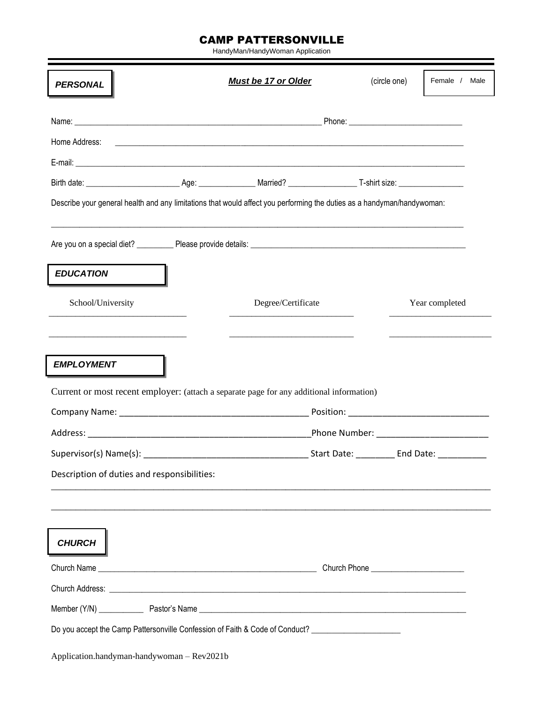## CAMP PATTERSONVILLE

HandyMan/HandyWoman Application

| <b>PERSONAL</b>                             | <b>Must be 17 or Older</b>                                                                                                                                                                                                                                                                                                 | (circle one) | Female / Male  |
|---------------------------------------------|----------------------------------------------------------------------------------------------------------------------------------------------------------------------------------------------------------------------------------------------------------------------------------------------------------------------------|--------------|----------------|
|                                             |                                                                                                                                                                                                                                                                                                                            |              |                |
| Home Address:                               |                                                                                                                                                                                                                                                                                                                            |              |                |
|                                             |                                                                                                                                                                                                                                                                                                                            |              |                |
|                                             |                                                                                                                                                                                                                                                                                                                            |              |                |
|                                             | Describe your general health and any limitations that would affect you performing the duties as a handyman/handywoman:                                                                                                                                                                                                     |              |                |
|                                             |                                                                                                                                                                                                                                                                                                                            |              |                |
| <b>EDUCATION</b>                            |                                                                                                                                                                                                                                                                                                                            |              |                |
| School/University                           | Degree/Certificate                                                                                                                                                                                                                                                                                                         |              | Year completed |
|                                             |                                                                                                                                                                                                                                                                                                                            |              |                |
| <b>EMPLOYMENT</b>                           |                                                                                                                                                                                                                                                                                                                            |              |                |
|                                             | Current or most recent employer: (attach a separate page for any additional information)<br>Company Name: Name and Company Name and Company Name and Company Name and Company Name and Company Name and Company of the Company of the Company of the Company of the Company of the Company of the Company of the Company o |              |                |
|                                             |                                                                                                                                                                                                                                                                                                                            |              |                |
| Description of duties and responsibilities: |                                                                                                                                                                                                                                                                                                                            |              |                |
|                                             |                                                                                                                                                                                                                                                                                                                            |              |                |
| <b>CHURCH</b>                               |                                                                                                                                                                                                                                                                                                                            |              |                |
|                                             |                                                                                                                                                                                                                                                                                                                            |              |                |
|                                             |                                                                                                                                                                                                                                                                                                                            |              |                |